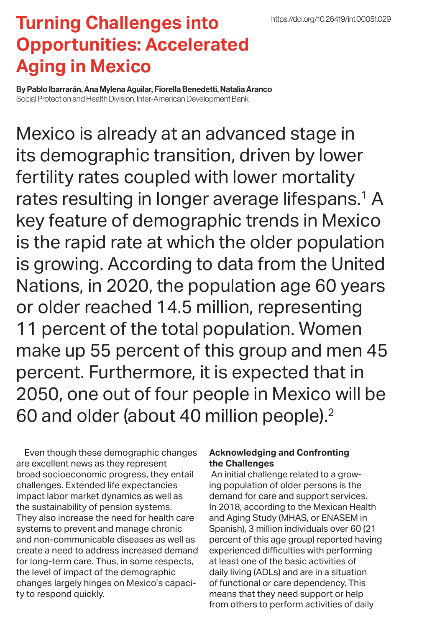## **Turning Challenges into Opportunities: Accelerated Aging in Mexico**

By Pablo Ibarrarán, Ana Mylena Aguilar, Fiorella Benedetti, Natalia Aranco Social Protection and Health Division, Inter-American Development Bank

Mexico is already at an advanced stage in its demographic transition, driven by lower fertility rates coupled with lower mortality rates resulting in longer average lifespans.<sup>1</sup> A key feature of demographic trends in Mexico is the rapid rate at which the older population is growing. According to data from the United Nations, in 2020, the population age 60 years or older reached 14.5 million, representing 11 percent of the total population. Women make up 55 percent of this group and men 45 percent. Furthermore, it is expected that in 2050, one out of four people in Mexico will be 60 and older (about 40 million people).<sup>2</sup>

Even though these demographic changes are excellent news as they represent broad socioeconomic progress, they entail challenges. Extended life expectancies impact labor market dynamics as well as the sustainability of pension systems. They also increase the need for health care systems to prevent and manage chronic and non-communicable diseases as well as create a need to address increased demand for long-term care. Thus, in some respects, the level of impact of the demographic changes largely hinges on Mexico's capacity to respond quickly.

## **Acknowledging and Confronting the Challenges**

 An initial challenge related to a growing population of older persons is the demand for care and support services. In 2018, according to the Mexican Health and Aging Study (MHAS, or ENASEM in Spanish), 3 million individuals over 60 (21 percent of this age group) reported having experienced difficulties with performing at least one of the basic activities of daily living (ADLs) and are in a situation of functional or care dependency. This means that they need support or help from others to perform activities of daily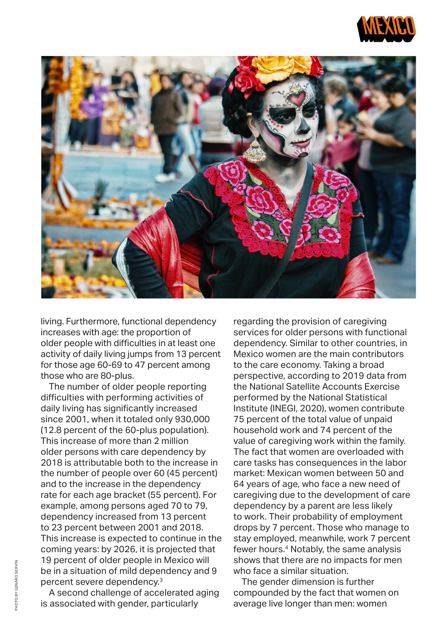



living. Furthermore, functional dependency increases with age: the proportion of older people with difficulties in at least one activity of daily living jumps from 13 percent for those age 60-69 to 47 percent among those who are 80-plus.

The number of older people reporting difficulties with performing activities of daily living has significantly increased since 2001, when it totaled only 930,000 (12.8 percent of the 60-plus population). This increase of more than 2 million older persons with care dependency by 2018 is attributable both to the increase in the number of people over 60 (45 percent) and to the increase in the dependency rate for each age bracket (55 percent). For example, among persons aged 70 to 79, dependency increased from 13 percent to 23 percent between 2001 and 2018. This increase is expected to continue in the coming years: by 2026, it is projected that 19 percent of older people in Mexico will be in a situation of mild dependency and 9 percent severe dependency.3

A second challenge of accelerated aging is associated with gender, particularly

regarding the provision of caregiving services for older persons with functional dependency. Similar to other countries, in Mexico women are the main contributors to the care economy. Taking a broad perspective, according to 2019 data from the National Satellite Accounts Exercise performed by the National Statistical Institute (INEGI, 2020), women contribute 75 percent of the total value of unpaid household work and 74 percent of the value of caregiving work within the family. The fact that women are overloaded with care tasks has consequences in the labor market: Mexican women between 50 and 64 years of age, who face a new need of caregiving due to the development of care dependency by a parent are less likely to work. Their probability of employment drops by 7 percent. Those who manage to stay employed, meanwhile, work 7 percent fewer hours.<sup>4</sup> Notably, the same analysis shows that there are no impacts for men who face a similar situation.

The gender dimension is further compounded by the fact that women on average live longer than men: women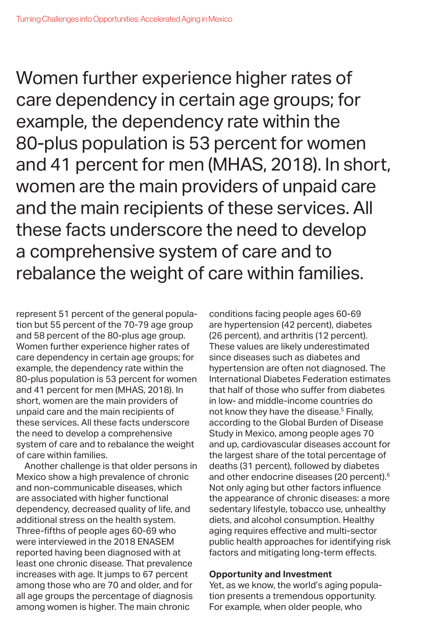Women further experience higher rates of care dependency in certain age groups; for example, the dependency rate within the 80-plus population is 53 percent for women and 41 percent for men (MHAS, 2018). In short, women are the main providers of unpaid care and the main recipients of these services. All these facts underscore the need to develop a comprehensive system of care and to rebalance the weight of care within families.

represent 51 percent of the general population but 55 percent of the 70-79 age group and 58 percent of the 80-plus age group. Women further experience higher rates of care dependency in certain age groups; for example, the dependency rate within the 80-plus population is 53 percent for women and 41 percent for men (MHAS, 2018). In short, women are the main providers of unpaid care and the main recipients of these services. All these facts underscore the need to develop a comprehensive system of care and to rebalance the weight of care within families.

Another challenge is that older persons in Mexico show a high prevalence of chronic and non-communicable diseases, which are associated with higher functional dependency, decreased quality of life, and additional stress on the health system. Three-fifths of people ages 60-69 who were interviewed in the 2018 ENASEM reported having been diagnosed with at least one chronic disease. That prevalence increases with age. It jumps to 67 percent among those who are 70 and older, and for all age groups the percentage of diagnosis among women is higher. The main chronic

conditions facing people ages 60-69 are hypertension (42 percent), diabetes (26 percent), and arthritis (12 percent). These values are likely underestimated since diseases such as diabetes and hypertension are often not diagnosed. The International Diabetes Federation estimates that half of those who suffer from diabetes in low- and middle-income countries do not know they have the disease.<sup>5</sup> Finally, according to the Global Burden of Disease Study in Mexico, among people ages 70 and up, cardiovascular diseases account for the largest share of the total percentage of deaths (31 percent), followed by diabetes and other endocrine diseases (20 percent).<sup>6</sup> Not only aging but other factors influence the appearance of chronic diseases: a more sedentary lifestyle, tobacco use, unhealthy diets, and alcohol consumption. Healthy aging requires effective and multi-sector public health approaches for identifying risk factors and mitigating long-term effects.

## **Opportunity and Investment**

Yet, as we know, the world's aging population presents a tremendous opportunity. For example, when older people, who